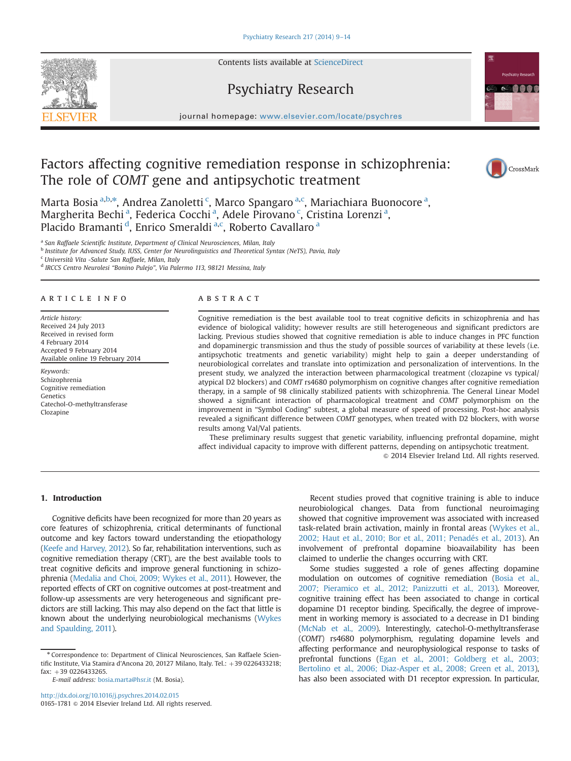Contents lists available at [ScienceDirect](www.sciencedirect.com/science/journal/01651781)

# Psychiatry Research

journal homepage: <www.elsevier.com/locate/psychres>

# Factors affecting cognitive remediation response in schizophrenia: The role of COMT gene and antipsychotic treatment



vchiatry Research **COOOO** 

Marta Bosia <sup>a,b,\*</sup>, Andrea Zanoletti <sup>c</sup>, Marco Spangaro <sup>a,c</sup>, Mariachiara Buonocore <sup>a</sup>, Margherita Bechi<sup>a</sup>, Federica Cocchi<sup>a</sup>, Adele Pirovano<sup>c</sup>, Cristina Lorenzi<sup>a</sup>, Placido Bramanti <sup>d</sup>, Enrico Smeraldi <sup>a,c</sup>, Roberto Cavallaro <sup>a</sup>

<sup>a</sup> San Raffaele Scientific Institute, Department of Clinical Neurosciences, Milan, Italy

<sup>b</sup> Institute for Advanced Study, IUSS, Center for Neurolinguistics and Theoretical Syntax (NeTS), Pavia, Italy

<sup>c</sup> Università Vita -Salute San Raffaele, Milan, Italy

<sup>d</sup> IRCCS Centro Neurolesi "Bonino Pulejo", Via Palermo 113, 98121 Messina, Italy

## article info

Article history: Received 24 July 2013 Received in revised form 4 February 2014 Accepted 9 February 2014 Available online 19 February 2014

Keywords: Schizophrenia Cognitive remediation Genetics Catechol-O-methyltransferase Clozapine

# **ABSTRACT**

Cognitive remediation is the best available tool to treat cognitive deficits in schizophrenia and has evidence of biological validity; however results are still heterogeneous and significant predictors are lacking. Previous studies showed that cognitive remediation is able to induce changes in PFC function and dopaminergic transmission and thus the study of possible sources of variability at these levels (i.e. antipsychotic treatments and genetic variability) might help to gain a deeper understanding of neurobiological correlates and translate into optimization and personalization of interventions. In the present study, we analyzed the interaction between pharmacological treatment (clozapine vs typical/ atypical D2 blockers) and COMT rs4680 polymorphism on cognitive changes after cognitive remediation therapy, in a sample of 98 clinically stabilized patients with schizophrenia. The General Linear Model showed a significant interaction of pharmacological treatment and COMT polymorphism on the improvement in "Symbol Coding" subtest, a global measure of speed of processing. Post-hoc analysis revealed a significant difference between COMT genotypes, when treated with D2 blockers, with worse results among Val/Val patients.

These preliminary results suggest that genetic variability, influencing prefrontal dopamine, might affect individual capacity to improve with different patterns, depending on antipsychotic treatment.

 $\odot$  2014 Elsevier Ireland Ltd. All rights reserved.

# 1. Introduction

Cognitive deficits have been recognized for more than 20 years as core features of schizophrenia, critical determinants of functional outcome and key factors toward understanding the etiopathology [\(Keefe and Harvey, 2012](#page-5-0)). So far, rehabilitation interventions, such as cognitive remediation therapy (CRT), are the best available tools to treat cognitive deficits and improve general functioning in schizophrenia [\(Medalia and Choi, 2009; Wykes et al., 2011](#page-5-0)). However, the reported effects of CRT on cognitive outcomes at post-treatment and follow-up assessments are very heterogeneous and significant predictors are still lacking. This may also depend on the fact that little is known about the underlying neurobiological mechanisms ([Wykes](#page-5-0) [and Spaulding, 2011\)](#page-5-0).

E-mail address: [bosia.marta@hsr.it](mailto:bosia.marta@hsr.it) (M. Bosia).

Recent studies proved that cognitive training is able to induce neurobiological changes. Data from functional neuroimaging showed that cognitive improvement was associated with increased task-related brain activation, mainly in frontal areas ([Wykes et al.,](#page-5-0) [2002; Haut et al., 2010; Bor et al., 2011; Penadés et al., 2013](#page-5-0)). An involvement of prefrontal dopamine bioavailability has been claimed to underlie the changes occurring with CRT.

Some studies suggested a role of genes affecting dopamine modulation on outcomes of cognitive remediation [\(Bosia et al.,](#page-5-0) [2007; Pieramico et al., 2012; Panizzutti et al., 2013](#page-5-0)). Moreover, cognitive training effect has been associated to change in cortical dopamine D1 receptor binding. Specifically, the degree of improvement in working memory is associated to a decrease in D1 binding [\(McNab et al., 2009](#page-5-0)). Interestingly, catechol-O-methyltransferase (COMT) rs4680 polymorphism, regulating dopamine levels and affecting performance and neurophysiological response to tasks of prefrontal functions ([Egan et al., 2001; Goldberg et al., 2003;](#page-5-0) [Bertolino et al., 2006; Diaz-Asper et al., 2008; Green et al., 2013\)](#page-5-0), has also been associated with D1 receptor expression. In particular,

<sup>n</sup> Correspondence to: Department of Clinical Neurosciences, San Raffaele Scientific Institute, Via Stamira d'Ancona 20, 20127 Milano, Italy. Tel.:  $+39$  0226433218; fax: +39 0226433265.

<http://dx.doi.org/10.1016/j.psychres.2014.02.015> 0165-1781 © 2014 Elsevier Ireland Ltd. All rights reserved.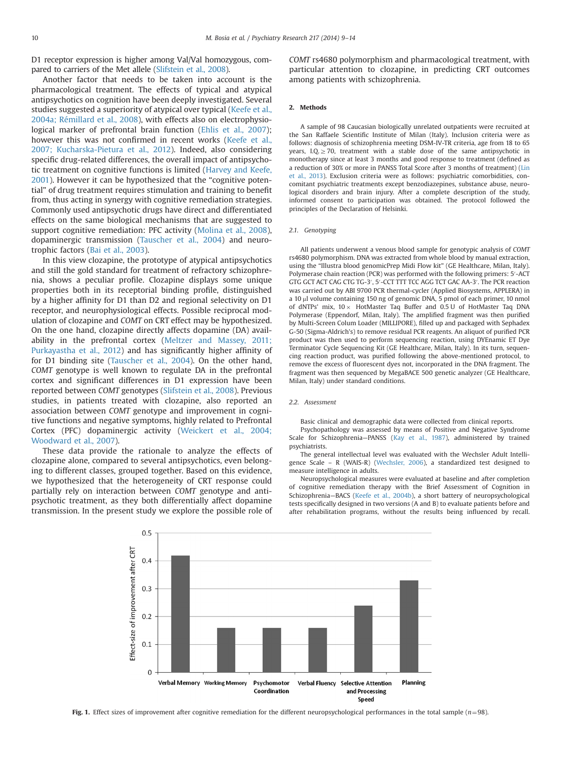<span id="page-1-0"></span>D1 receptor expression is higher among Val/Val homozygous, compared to carriers of the Met allele [\(Slifstein et al., 2008](#page-5-0)).

Another factor that needs to be taken into account is the pharmacological treatment. The effects of typical and atypical antipsychotics on cognition have been deeply investigated. Several studies suggested a superiority of atypical over typical [\(Keefe et al.,](#page-5-0) [2004a; Rémillard et al., 2008](#page-5-0)), with effects also on electrophysiological marker of prefrontal brain function ([Ehlis et al., 2007\)](#page-5-0); however this was not confirmed in recent works ([Keefe et al.,](#page-5-0) [2007; Kucharska-Pietura et al., 2012](#page-5-0)). Indeed, also considering specific drug-related differences, the overall impact of antipsychotic treatment on cognitive functions is limited ([Harvey and Keefe,](#page-5-0) [2001\)](#page-5-0). However it can be hypothesized that the "cognitive potential" of drug treatment requires stimulation and training to benefit from, thus acting in synergy with cognitive remediation strategies. Commonly used antipsychotic drugs have direct and differentiated effects on the same biological mechanisms that are suggested to support cognitive remediation: PFC activity ([Molina et al., 2008\)](#page-5-0), dopaminergic transmission [\(Tauscher et al., 2004](#page-5-0)) and neurotrophic factors ([Bai et al., 2003\)](#page-4-0).

In this view clozapine, the prototype of atypical antipsychotics and still the gold standard for treatment of refractory schizophrenia, shows a peculiar profile. Clozapine displays some unique properties both in its receptorial binding profile, distinguished by a higher affinity for D1 than D2 and regional selectivity on D1 receptor, and neurophysiological effects. Possible reciprocal modulation of clozapine and COMT on CRT effect may be hypothesized. On the one hand, clozapine directly affects dopamine (DA) availability in the prefrontal cortex ([Meltzer and Massey, 2011;](#page-5-0) [Purkayastha et al., 2012](#page-5-0)) and has significantly higher affinity of for D1 binding site ([Tauscher et al., 2004](#page-5-0)). On the other hand, COMT genotype is well known to regulate DA in the prefrontal cortex and significant differences in D1 expression have been reported between COMT genotypes [\(Slifstein et al., 2008](#page-5-0)). Previous studies, in patients treated with clozapine, also reported an association between COMT genotype and improvement in cognitive functions and negative symptoms, highly related to Prefrontal Cortex (PFC) dopaminergic activity ([Weickert et al., 2004;](#page-5-0) [Woodward et al., 2007\)](#page-5-0).

These data provide the rationale to analyze the effects of clozapine alone, compared to several antipsychotics, even belonging to different classes, grouped together. Based on this evidence, we hypothesized that the heterogeneity of CRT response could partially rely on interaction between COMT genotype and antipsychotic treatment, as they both differentially affect dopamine transmission. In the present study we explore the possible role of COMT rs4680 polymorphism and pharmacological treatment, with particular attention to clozapine, in predicting CRT outcomes among patients with schizophrenia.

# 2. Methods

A sample of 98 Caucasian biologically unrelated outpatients were recruited at the San Raffaele Scientific Institute of Milan (Italy). Inclusion criteria were as follows: diagnosis of schizophrenia meeting DSM-IV-TR criteria, age from 18 to 65 years, I.Q. $\geq$  70, treatment with a stable dose of the same antipsychotic in monotherapy since at least 3 months and good response to treatment (defined as a reduction of 30% or more in PANSS Total Score after 3 months of treatment) ([Lin](#page-5-0) [et al., 2013](#page-5-0)). Exclusion criteria were as follows: psychiatric comorbidities, concomitant psychiatric treatments except benzodiazepines, substance abuse, neurological disorders and brain injury. After a complete description of the study, informed consent to participation was obtained. The protocol followed the principles of the Declaration of Helsinki.

## 2.1. Genotyping

All patients underwent a venous blood sample for genotypic analysis of COMT rs4680 polymorphism. DNA was extracted from whole blood by manual extraction, using the "Illustra blood genomicPrep Midi Flow kit" (GE Healthcare, Milan, Italy). Polymerase chain reaction (PCR) was performed with the following primers: 5'-ACT GTG GCT ACT CAG CTG TG-3', 5'-CCT TTT TCC AGG TCT GAC AA-3'. The PCR reaction was carried out by ABI 9700 PCR thermal-cycler (Applied Biosystems, APPLERA) in a 10 µl volume containing 150 ng of genomic DNA, 5 pmol of each primer, 10 nmol of dNTPs' mix,  $10 \times$  HotMaster Taq Buffer and 0.5 U of HotMaster Taq DNA Polymerase (Eppendorf, Milan, Italy). The amplified fragment was then purified by Multi-Screen Colum Loader (MILLIPORE), filled up and packaged with Sephadex G-50 (Sigma-Aldrich's) to remove residual PCR reagents. An aliquot of purified PCR product was then used to perform sequencing reaction, using DYEnamic ET Dye Terminator Cycle Sequencing Kit (GE Healthcare, Milan, Italy). In its turn, sequencing reaction product, was purified following the above-mentioned protocol, to remove the excess of fluorescent dyes not, incorporated in the DNA fragment. The fragment was then sequenced by MegaBACE 500 genetic analyzer (GE Healthcare, Milan, Italy) under standard conditions.

#### 2.2. Assessment

Basic clinical and demographic data were collected from clinical reports.

Psychopathology was assessed by means of Positive and Negative Syndrome Scale for Schizophrenia—PANSS ([Kay et al., 1987\)](#page-5-0), administered by trained psychiatrists.

The general intellectual level was evaluated with the Wechsler Adult Intelligence Scale – R (WAIS-R) ([Wechsler, 2006\)](#page-5-0), a standardized test designed to measure intelligence in adults.

Neuropsychological measures were evaluated at baseline and after completion of cognitive remediation therapy with the Brief Assessment of Cognition in Schizophrenia—BACS ([Keefe et al., 2004b](#page-5-0)), a short battery of neuropsychological tests specifically designed in two versions (A and B) to evaluate patients before and after rehabilitation programs, without the results being influenced by recall.



Fig. 1. Effect sizes of improvement after cognitive remediation for the different neuropsychological performances in the total sample ( $n=98$ ).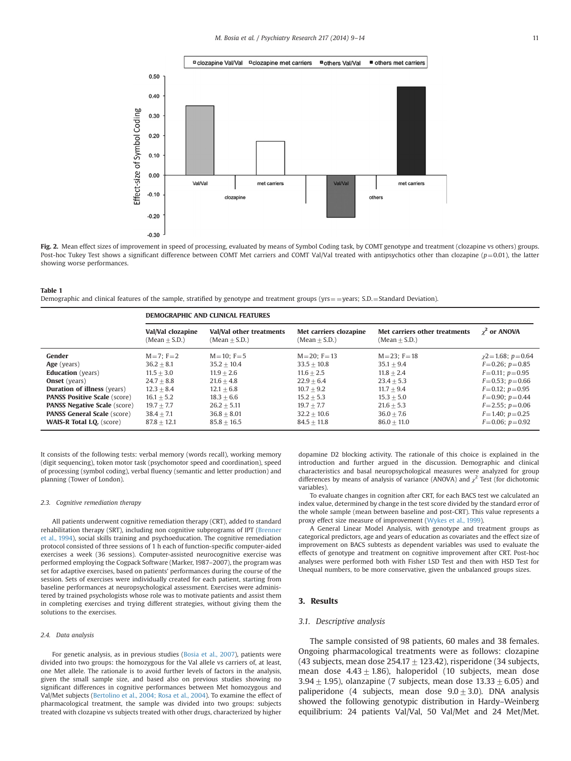<span id="page-2-0"></span>

Fig. 2. Mean effect sizes of improvement in speed of processing, evaluated by means of Symbol Coding task, by COMT genotype and treatment (clozapine vs others) groups. Post-hoc Tukey Test shows a significant difference between COMT Met carriers and COMT Val/Val treated with antipsychotics other than clozapine ( $p=0.01$ ), the latter showing worse performances.

#### Demographic and clinical features of the sample, stratified by genotype and treatment groups (yrs = = years;  $S.D.=Standard$  Deviation).

|                                     | <b>DEMOGRAPHIC AND CLINICAL FEATURES</b> |                                             |                                           |                                                  |                           |  |  |
|-------------------------------------|------------------------------------------|---------------------------------------------|-------------------------------------------|--------------------------------------------------|---------------------------|--|--|
|                                     | Val/Val clozapine<br>$(Mean + S.D.)$     | Val/Val other treatments<br>$(Mean + S.D.)$ | Met carriers clozapine<br>$(Mean + S.D.)$ | Met carriers other treatments<br>$(Mean + S.D.)$ | $\chi^2$ or ANOVA         |  |  |
| Gender                              | $M = 7: F = 2$                           | $M = 10$ : F=5                              | $M = 20$ : $F = 13$                       | $M = 23: F = 18$                                 | $y^2 = 1.68$ ; $p = 0.64$ |  |  |
| Age (years)                         | $36.2 + 8.1$                             | $35.2 + 10.4$                               | $33.5 + 10.8$                             | $35.1 + 9.4$                                     | $F=0.26$ ; $p=0.85$       |  |  |
| <b>Education</b> (years)            | $11.5 + 3.0$                             | $11.9 + 2.6$                                | $11.6 + 2.5$                              | $11.8 + 2.4$                                     | $F=0.11$ ; $p=0.95$       |  |  |
| <b>Onset</b> (years)                | $24.7 + 8.8$                             | $21.6 + 4.8$                                | $22.9 + 6.4$                              | $23.4 + 5.3$                                     | $F=0.53$ ; $p=0.66$       |  |  |
| <b>Duration of illness</b> (years)  | $12.3 + 8.4$                             | $12.1 + 6.8$                                | $10.7 + 9.2$                              | $11.7 + 9.4$                                     | $F=0.12$ ; $p=0.95$       |  |  |
| <b>PANSS Positive Scale (score)</b> | $16.1 + 5.2$                             | $18.3 + 6.6$                                | $15.2 + 5.3$                              | $15.3 + 5.0$                                     | $F=0.90; p=0.44$          |  |  |
| <b>PANSS Negative Scale</b> (score) | $19.7 + 7.7$                             | $26.2 + 5.11$                               | $19.7 + 7.7$                              | $21.6 + 5.3$                                     | $F = 2.55$ ; $p = 0.06$   |  |  |
| <b>PANSS General Scale</b> (score)  | $38.4 + 7.1$                             | $36.8 + 8.01$                               | $32.2 + 10.6$                             | $36.0 + 7.6$                                     | $F=1.40; p=0.25$          |  |  |
| <b>WAIS-R Total I.O.</b> (score)    | $87.8 + 12.1$                            | $85.8 + 16.5$                               | $84.5 + 11.8$                             | $86.0 + 11.0$                                    | $F=0.06; p=0.92$          |  |  |

It consists of the following tests: verbal memory (words recall), working memory (digit sequencing), token motor task (psychomotor speed and coordination), speed of processing (symbol coding), verbal fluency (semantic and letter production) and planning (Tower of London).

#### 2.3. Cognitive remediation therapy

Table 1

All patients underwent cognitive remediation therapy (CRT), added to standard rehabilitation therapy (SRT), including non cognitive subprograms of IPT [\(Brenner](#page-5-0) [et al., 1994\)](#page-5-0), social skills training and psychoeducation. The cognitive remediation protocol consisted of three sessions of 1 h each of function-specific computer-aided exercises a week (36 sessions). Computer-assisted neurocognitive exercise was performed employing the Cogpack Software (Marker, 1987–2007), the program was set for adaptive exercises, based on patients' performances during the course of the session. Sets of exercises were individually created for each patient, starting from baseline performances at neuropsychological assessment. Exercises were administered by trained psychologists whose role was to motivate patients and assist them in completing exercises and trying different strategies, without giving them the solutions to the exercises.

### 2.4. Data analysis

For genetic analysis, as in previous studies ([Bosia et al., 2007\)](#page-5-0), patients were divided into two groups: the homozygous for the Val allele vs carriers of, at least, one Met allele. The rationale is to avoid further levels of factors in the analysis, given the small sample size, and based also on previous studies showing no significant differences in cognitive performances between Met homozygous and Val/Met subjects [\(Bertolino et al., 2004; Rosa et al., 2004\)](#page-5-0). To examine the effect of pharmacological treatment, the sample was divided into two groups: subjects treated with clozapine vs subjects treated with other drugs, characterized by higher dopamine D2 blocking activity. The rationale of this choice is explained in the introduction and further argued in the discussion. Demographic and clinical characteristics and basal neuropsychological measures were analyzed for group differences by means of analysis of variance (ANOVA) and  $\chi^2$  Test (for dichotomic variables).

To evaluate changes in cognition after CRT, for each BACS test we calculated an index value, determined by change in the test score divided by the standard error of the whole sample (mean between baseline and post-CRT). This value represents a proxy effect size measure of improvement ([Wykes et al., 1999](#page-5-0)).

A General Linear Model Analysis, with genotype and treatment groups as categorical predictors, age and years of education as covariates and the effect size of improvement on BACS subtests as dependent variables was used to evaluate the effects of genotype and treatment on cognitive improvement after CRT. Post-hoc analyses were performed both with Fisher LSD Test and then with HSD Test for Unequal numbers, to be more conservative, given the unbalanced groups sizes.

## 3. Results

## 3.1. Descriptive analysis

The sample consisted of 98 patients, 60 males and 38 females. Ongoing pharmacological treatments were as follows: clozapine (43 subjects, mean dose  $254.17 \pm 123.42$ ), risperidone (34 subjects, mean dose  $4.43 + 1.86$ ), haloperidol (10 subjects, mean dose 3.94 + 1.95), olanzapine (7 subjects, mean dose  $13.33 + 6.05$ ) and paliperidone (4 subjects, mean dose  $9.0\pm3.0$ ). DNA analysis showed the following genotypic distribution in Hardy–Weinberg equilibrium: 24 patients Val/Val, 50 Val/Met and 24 Met/Met.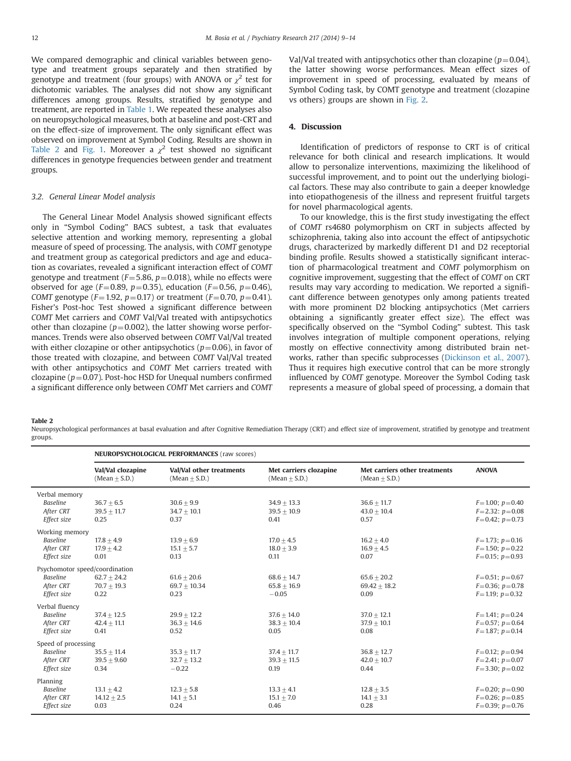We compared demographic and clinical variables between genotype and treatment groups separately and then stratified by genotype and treatment (four groups) with ANOVA or  $\chi^2$  test for dichotomic variables. The analyses did not show any significant differences among groups. Results, stratified by genotype and treatment, are reported in [Table 1.](#page-2-0) We repeated these analyses also on neuropsychological measures, both at baseline and post-CRT and on the effect-size of improvement. The only significant effect was observed on improvement at Symbol Coding. Results are shown in Table 2 and [Fig. 1](#page-1-0). Moreover a  $\chi^2$  test showed no significant differences in genotype frequencies between gender and treatment groups.

### 3.2. General Linear Model analysis

The General Linear Model Analysis showed significant effects only in "Symbol Coding" BACS subtest, a task that evaluates selective attention and working memory, representing a global measure of speed of processing. The analysis, with COMT genotype and treatment group as categorical predictors and age and education as covariates, revealed a significant interaction effect of COMT genotype and treatment ( $F=5.86$ ,  $p=0.018$ ), while no effects were observed for age ( $F=0.89$ ,  $p=0.35$ ), education ( $F=0.56$ ,  $p=0.46$ ), COMT genotype ( $F=1.92$ ,  $p=0.17$ ) or treatment ( $F=0.70$ ,  $p=0.41$ ). Fisher's Post-hoc Test showed a significant difference between COMT Met carriers and COMT Val/Val treated with antipsychotics other than clozapine ( $p=0.002$ ), the latter showing worse performances. Trends were also observed between COMT Val/Val treated with either clozapine or other antipsychotics ( $p=0.06$ ), in favor of those treated with clozapine, and between COMT Val/Val treated with other antipsychotics and COMT Met carriers treated with clozapine ( $p=0.07$ ). Post-hoc HSD for Unequal numbers confirmed a significant difference only between COMT Met carriers and COMT Val/Val treated with antipsychotics other than clozapine ( $p=0.04$ ), the latter showing worse performances. Mean effect sizes of improvement in speed of processing, evaluated by means of Symbol Coding task, by COMT genotype and treatment (clozapine vs others) groups are shown in [Fig. 2](#page-2-0).

## 4. Discussion

Identification of predictors of response to CRT is of critical relevance for both clinical and research implications. It would allow to personalize interventions, maximizing the likelihood of successful improvement, and to point out the underlying biological factors. These may also contribute to gain a deeper knowledge into etiopathogenesis of the illness and represent fruitful targets for novel pharmacological agents.

To our knowledge, this is the first study investigating the effect of COMT rs4680 polymorphism on CRT in subjects affected by schizophrenia, taking also into account the effect of antipsychotic drugs, characterized by markedly different D1 and D2 receptorial binding profile. Results showed a statistically significant interaction of pharmacological treatment and COMT polymorphism on cognitive improvement, suggesting that the effect of COMT on CRT results may vary according to medication. We reported a significant difference between genotypes only among patients treated with more prominent D2 blocking antipsychotics (Met carriers obtaining a significantly greater effect size). The effect was specifically observed on the "Symbol Coding" subtest. This task involves integration of multiple component operations, relying mostly on effective connectivity among distributed brain networks, rather than specific subprocesses ([Dickinson et al., 2007\)](#page-5-0). Thus it requires high executive control that can be more strongly influenced by COMT genotype. Moreover the Symbol Coding task represents a measure of global speed of processing, a domain that

Table 2

Neuropsychological performances at basal evaluation and after Cognitive Remediation Therapy (CRT) and effect size of improvement, stratified by genotype and treatment groups.

|                                                                               | NEUROPSYCHOLOGICAL PERFORMANCES (raw scores) |                                             |                                           |                                                    |                                                                           |  |  |
|-------------------------------------------------------------------------------|----------------------------------------------|---------------------------------------------|-------------------------------------------|----------------------------------------------------|---------------------------------------------------------------------------|--|--|
|                                                                               | Val/Val clozapine<br>$(Mean + S.D.)$         | Val/Val other treatments<br>$(Mean + S.D.)$ | Met carriers clozapine<br>$(Mean + S.D.)$ | Met carriers other treatments<br>(Mean $\pm$ S.D.) | <b>ANOVA</b>                                                              |  |  |
| Verbal memory<br><b>Baseline</b><br>After CRT<br>Effect size                  | $36.7 + 6.5$<br>$39.5 \pm 11.7$<br>0.25      | $30.6 + 9.9$<br>$34.7 + 10.1$<br>0.37       | $34.9 + 13.3$<br>$39.5 + 10.9$<br>0.41    | $36.6 + 11.7$<br>$43.0 + 10.4$<br>0.57             | $F = 1.00$ ; $p = 0.40$<br>$F = 2.32$ : $p = 0.08$<br>$F=0.42$ ; $p=0.73$ |  |  |
| Working memory<br><b>Baseline</b><br>After CRT<br>Effect size                 | $17.8 + 4.9$<br>$17.9 + 4.2$<br>0.01         | $13.9 + 6.9$<br>$15.1 + 5.7$<br>0.13        | $17.0 + 4.5$<br>$18.0 + 3.9$<br>0.11      | $16.2 + 4.0$<br>$16.9 + 4.5$<br>0.07               | $F = 1.73$ ; $p = 0.16$<br>$F=1.50; p=0.22$<br>$F=0.15$ ; $p=0.93$        |  |  |
| Psychomotor speed/coordination<br><b>Baseline</b><br>After CRT<br>Effect size | $62.7 + 24.2$<br>$70.7 + 19.3$<br>0.22       | $61.6 + 20.6$<br>$69.7 + 10.34$<br>0.23     | $68.6 + 14.7$<br>$65.8 + 16.9$<br>$-0.05$ | $65.6 + 20.2$<br>$69.42 + 18.2$<br>0.09            | $F=0.51$ ; $p=0.67$<br>$F=0.36$ ; $p=0.78$<br>$F = 1.19$ ; $p = 0.32$     |  |  |
| Verbal fluency<br><b>Baseline</b><br>After CRT<br>Effect size                 | $37.4 + 12.5$<br>$42.4 \pm 11.1$<br>0.41     | $29.9 + 12.2$<br>$36.3 + 14.6$<br>0.52      | $37.6 + 14.0$<br>$38.3 + 10.4$<br>0.05    | $37.0 + 12.1$<br>$37.9 + 10.1$<br>0.08             | $F = 1.41$ ; $p = 0.24$<br>$F=0.57; p=0.64$<br>$F = 1.87$ ; $p = 0.14$    |  |  |
| Speed of processing<br><b>Baseline</b><br>After CRT<br>Effect size            | $35.5 + 11.4$<br>$39.5 + 9.60$<br>0.34       | $35.3 + 11.7$<br>$32.7 + 13.2$<br>$-0.22$   | $37.4 + 11.7$<br>$39.3 + 11.5$<br>0.19    | $36.8 + 12.7$<br>$42.0 + 10.7$<br>0.44             | $F=0.12$ ; $p=0.94$<br>$F = 2.41$ ; $p = 0.07$<br>$F = 3.30$ ; $p = 0.02$ |  |  |
| Planning<br><b>Baseline</b><br>After CRT<br>Effect size                       | $13.1 + 4.2$<br>$14.12 + 2.5$<br>0.03        | $12.3 + 5.8$<br>$14.1 + 5.1$<br>0.24        | $13.3 + 4.1$<br>$15.1 + 7.0$<br>0.46      | $12.8 + 3.5$<br>$14.1 + 3.1$<br>0.28               | $F=0.20; p=0.90$<br>$F=0.26$ ; $p=0.85$<br>$F=0.39; p=0.76$               |  |  |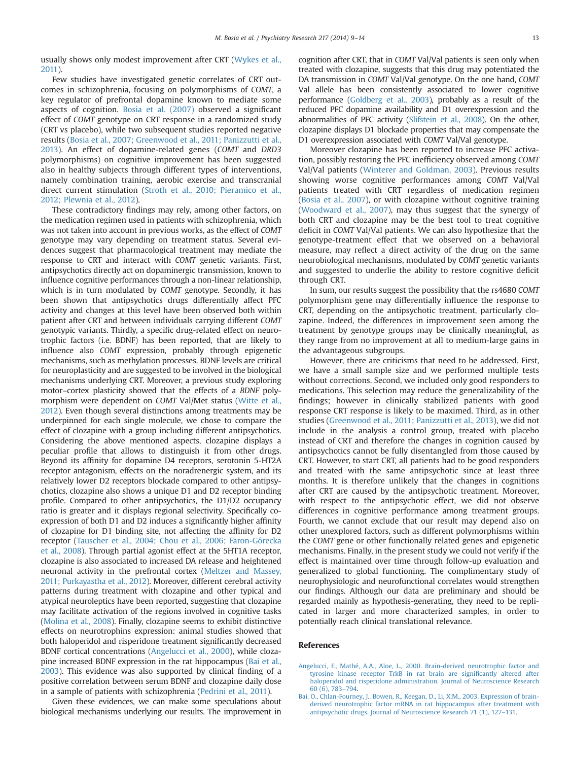<span id="page-4-0"></span>usually shows only modest improvement after CRT [\(Wykes et al.,](#page-5-0) [2011](#page-5-0)).

Few studies have investigated genetic correlates of CRT outcomes in schizophrenia, focusing on polymorphisms of COMT, a key regulator of prefrontal dopamine known to mediate some aspects of cognition. [Bosia et al. \(2007\)](#page-5-0) observed a significant effect of COMT genotype on CRT response in a randomized study (CRT vs placebo), while two subsequent studies reported negative results [\(Bosia et al., 2007; Greenwood et al., 2011; Panizzutti et al.,](#page-5-0) [2013\)](#page-5-0). An effect of dopamine-related genes (COMT and DRD3 polymorphisms) on cognitive improvement has been suggested also in healthy subjects through different types of interventions, namely combination training, aerobic exercise and transcranial direct current stimulation [\(Stroth et al., 2010; Pieramico et al.,](#page-5-0) [2012; Plewnia et al., 2012](#page-5-0)).

These contradictory findings may rely, among other factors, on the medication regimen used in patients with schizophrenia, which was not taken into account in previous works, as the effect of COMT genotype may vary depending on treatment status. Several evidences suggest that pharmacological treatment may mediate the response to CRT and interact with COMT genetic variants. First, antipsychotics directly act on dopaminergic transmission, known to influence cognitive performances through a non-linear relationship, which is in turn modulated by COMT genotype. Secondly, it has been shown that antipsychotics drugs differentially affect PFC activity and changes at this level have been observed both within patient after CRT and between individuals carrying different COMT genotypic variants. Thirdly, a specific drug-related effect on neurotrophic factors (i.e. BDNF) has been reported, that are likely to influence also COMT expression, probably through epigenetic mechanisms, such as methylation processes. BDNF levels are critical for neuroplasticity and are suggested to be involved in the biological mechanisms underlying CRT. Moreover, a previous study exploring motor–cortex plasticity showed that the effects of a BDNF polymorphism were dependent on COMT Val/Met status [\(Witte et al.,](#page-5-0) [2012\)](#page-5-0). Even though several distinctions among treatments may be underpinned for each single molecule, we chose to compare the effect of clozapine with a group including different antipsychotics. Considering the above mentioned aspects, clozapine displays a peculiar profile that allows to distinguish it from other drugs. Beyond its affinity for dopamine D4 receptors, serotonin 5-HT2A receptor antagonism, effects on the noradrenergic system, and its relatively lower D2 receptors blockade compared to other antipsychotics, clozapine also shows a unique D1 and D2 receptor binding profile. Compared to other antipsychotics, the D1/D2 occupancy ratio is greater and it displays regional selectivity. Specifically coexpression of both D1 and D2 induces a significantly higher affinity of clozapine for D1 binding site, not affecting the affinity for D2 receptor [\(Tauscher et al., 2004; Chou et al., 2006; Faron-Górecka](#page-5-0) [et al., 2008\)](#page-5-0). Through partial agonist effect at the 5HT1A receptor, clozapine is also associated to increased DA release and heightened neuronal activity in the prefrontal cortex [\(Meltzer and Massey,](#page-5-0) [2011; Purkayastha et al., 2012\)](#page-5-0). Moreover, different cerebral activity patterns during treatment with clozapine and other typical and atypical neuroleptics have been reported, suggesting that clozapine may facilitate activation of the regions involved in cognitive tasks [\(Molina et al., 2008](#page-5-0)). Finally, clozapine seems to exhibit distinctive effects on neurotrophins expression: animal studies showed that both haloperidol and risperidone treatment significantly decreased BDNF cortical concentrations (Angelucci et al., 2000), while clozapine increased BDNF expression in the rat hippocampus (Bai et al., 2003). This evidence was also supported by clinical finding of a positive correlation between serum BDNF and clozapine daily dose in a sample of patients with schizophrenia [\(Pedrini et al., 2011\)](#page-5-0).

Given these evidences, we can make some speculations about biological mechanisms underlying our results. The improvement in cognition after CRT, that in COMT Val/Val patients is seen only when treated with clozapine, suggests that this drug may potentiated the DA transmission in COMT Val/Val genotype. On the one hand, COMT Val allele has been consistently associated to lower cognitive performance [\(Goldberg et al., 2003\)](#page-5-0), probably as a result of the reduced PFC dopamine availability and D1 overexpression and the abnormalities of PFC activity [\(Slifstein et al., 2008\)](#page-5-0). On the other, clozapine displays D1 blockade properties that may compensate the D1 overexpression associated with COMT Val/Val genotype.

Moreover clozapine has been reported to increase PFC activation, possibly restoring the PFC inefficiency observed among COMT Val/Val patients ([Winterer and Goldman, 2003](#page-5-0)). Previous results showing worse cognitive performances among COMT Val/Val patients treated with CRT regardless of medication regimen ([Bosia et al., 2007](#page-5-0)), or with clozapine without cognitive training ([Woodward et al., 2007\)](#page-5-0), may thus suggest that the synergy of both CRT and clozapine may be the best tool to treat cognitive deficit in COMT Val/Val patients. We can also hypothesize that the genotype-treatment effect that we observed on a behavioral measure, may reflect a direct activity of the drug on the same neurobiological mechanisms, modulated by COMT genetic variants and suggested to underlie the ability to restore cognitive deficit through CRT.

In sum, our results suggest the possibility that the rs4680 COMT polymorphism gene may differentially influence the response to CRT, depending on the antipsychotic treatment, particularly clozapine. Indeed, the differences in improvement seen among the treatment by genotype groups may be clinically meaningful, as they range from no improvement at all to medium-large gains in the advantageous subgroups.

However, there are criticisms that need to be addressed. First, we have a small sample size and we performed multiple tests without corrections. Second, we included only good responders to medications. This selection may reduce the generalizability of the findings; however in clinically stabilized patients with good response CRT response is likely to be maximed. Third, as in other studies ([Greenwood et al., 2011; Panizzutti et al., 2013\)](#page-5-0), we did not include in the analysis a control group, treated with placebo instead of CRT and therefore the changes in cognition caused by antipsychotics cannot be fully disentangled from those caused by CRT. However, to start CRT, all patients had to be good responders and treated with the same antipsychotic since at least three months. It is therefore unlikely that the changes in cognitions after CRT are caused by the antipsychotic treatment. Moreover, with respect to the antipsychotic effect, we did not observe differences in cognitive performance among treatment groups. Fourth, we cannot exclude that our result may depend also on other unexplored factors, such as different polymorphisms within the COMT gene or other functionally related genes and epigenetic mechanisms. Finally, in the present study we could not verify if the effect is maintained over time through follow-up evaluation and generalized to global functioning. The complimentary study of neurophysiologic and neurofunctional correlates would strengthen our findings. Although our data are preliminary and should be regarded mainly as hypothesis-generating, they need to be replicated in larger and more characterized samples, in order to potentially reach clinical translational relevance.

## References

- [Angelucci, F., Mathé, A.A., Aloe, L., 2000. Brain-derived neurotrophic factor and](http://refhub.elsevier.com/S0165-1781(14)00133-4/sbref1) [tyrosine kinase receptor TrkB in rat brain are signi](http://refhub.elsevier.com/S0165-1781(14)00133-4/sbref1)ficantly altered after [haloperidol and risperidone administration. Journal of Neuroscience Research](http://refhub.elsevier.com/S0165-1781(14)00133-4/sbref1) [60 \(6\), 783](http://refhub.elsevier.com/S0165-1781(14)00133-4/sbref1)–794.
- [Bai, O., Chlan-Fourney, J., Bowen, R., Keegan, D., Li, X.M., 2003. Expression of brain](http://refhub.elsevier.com/S0165-1781(14)00133-4/sbref2)[derived neurotrophic factor mRNA in rat hippocampus after treatment with](http://refhub.elsevier.com/S0165-1781(14)00133-4/sbref2) [antipsychotic drugs. Journal of Neuroscience Research 71 \(1\), 127](http://refhub.elsevier.com/S0165-1781(14)00133-4/sbref2)–131.